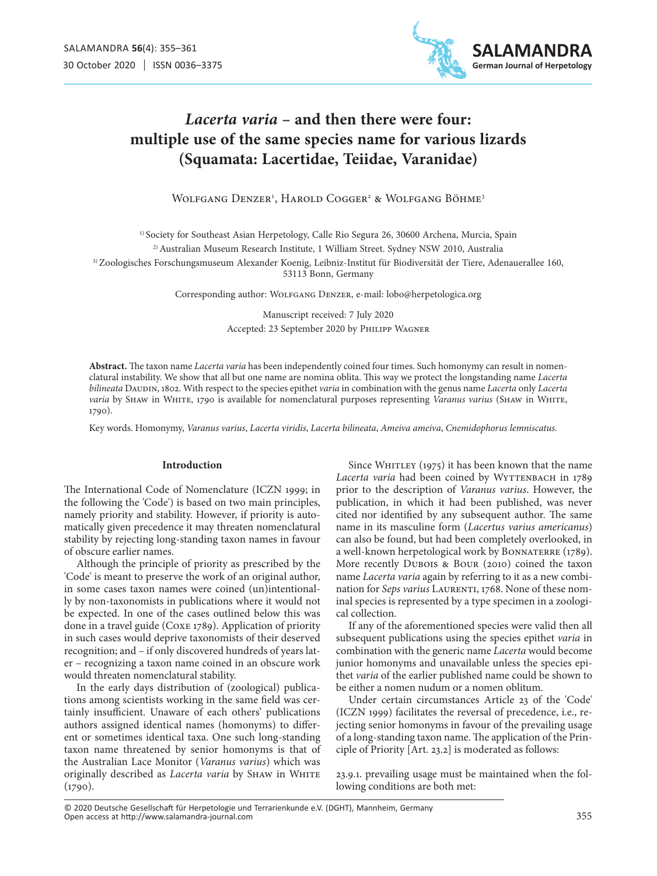

# *Lacerta varia* **– and then there were four: multiple use of the same species name for various lizards (Squamata: Lacertidae, Teiidae, Varanidae)**

Wolfgang Denzer<sup>1</sup>, Harold Cogger<sup>2</sup> & Wolfgang Böhme<sup>3</sup>

<sup>1)</sup> Society for Southeast Asian Herpetology, Calle Rio Segura 26, 30600 Archena, Murcia, Spain 2) Australian Museum Research Institute, 1 William Street. Sydney NSW 2010, Australia

3) Zoologisches Forschungsmuseum Alexander Koenig, Leibniz-Institut für Biodiversität der Tiere, Adenauerallee 160,

53113 Bonn, Germany

Corresponding author: Wolfgang Denzer, e-mail: lobo@herpetologica.org

Manuscript received: 7 July 2020 Accepted: 23 September 2020 by Philipp Wagner

**Abstract.** The taxon name *Lacerta varia* has been independently coined four times. Such homonymy can result in nomenclatural instability. We show that all but one name are nomina oblita. This way we protect the longstanding name *Lacerta bilineata* DAUDIN, 1802. With respect to the species epithet *varia* in combination with the genus name *Lacerta* only *Lacerta varia* by Shaw in White, 1790 is available for nomenclatural purposes representing *Varanus varius* (Shaw in White, 1790).

Key words. Homonymy, *Varanus varius*, *Lacerta viridis*, *Lacerta bilineata*, *Ameiva ameiva*, *Cnemidophorus lemniscatus.*

## **Introduction**

The International Code of Nomenclature (ICZN 1999; in the following the 'Code') is based on two main principles, namely priority and stability. However, if priority is automatically given precedence it may threaten nomenclatural stability by rejecting long-standing taxon names in favour of obscure earlier names.

Although the principle of priority as prescribed by the 'Code' is meant to preserve the work of an original author, in some cases taxon names were coined (un)intentionally by non-taxonomists in publications where it would not be expected. In one of the cases outlined below this was done in a travel guide (Coxe 1789). Application of priority in such cases would deprive taxonomists of their deserved recognition; and – if only discovered hundreds of years later – recognizing a taxon name coined in an obscure work would threaten nomenclatural stability.

In the early days distribution of (zoological) publications among scientists working in the same field was certainly insufficient. Unaware of each others' publications authors assigned identical names (homonyms) to different or sometimes identical taxa. One such long-standing taxon name threatened by senior homonyms is that of the Australian Lace Monitor (*Varanus varius*) which was originally described as *Lacerta varia* by SHAW in WHITE  $(1790)$ .

Since WHITLEY (1975) it has been known that the name Lacerta varia had been coined by WYTTENBACH in 1789 prior to the description of *Varanus varius*. However, the publication, in which it had been published, was never cited nor identified by any subsequent author. The same name in its masculine form (*Lacertus varius americanus*) can also be found, but had been completely overlooked, in a well-known herpetological work by BONNATERRE (1789). More recently Dubois & Bour (2010) coined the taxon name *Lacerta varia* again by referring to it as a new combination for *Seps varius* LAURENTI, 1768. None of these nominal species is represented by a type specimen in a zoological collection.

If any of the aforementioned species were valid then all subsequent publications using the species epithet *varia* in combination with the generic name *Lacerta* would become junior homonyms and unavailable unless the species epithet *varia* of the earlier published name could be shown to be either a nomen nudum or a nomen oblitum.

Under certain circumstances Article 23 of the 'Code' (ICZN 1999) facilitates the reversal of precedence, i.e., rejecting senior homonyms in favour of the prevailing usage of a long-standing taxon name. The application of the Principle of Priority [Art. 23.2] is moderated as follows:

23.9.1. prevailing usage must be maintained when the following conditions are both met:

Open access at http://www.salamandra-journal.com © 2020 Deutsche Gesellschaft für Herpetologie und Terrarienkunde e.V. (DGHT), Mannheim, Germany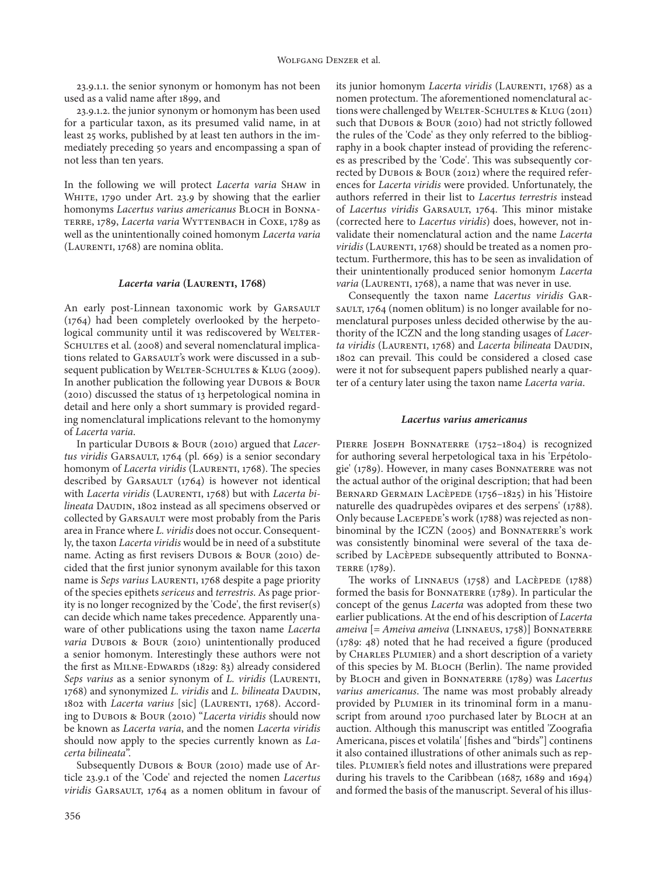23.9.1.1. the senior synonym or homonym has not been used as a valid name after 1899, and

23.9.1.2. the junior synonym or homonym has been used for a particular taxon, as its presumed valid name, in at least 25 works, published by at least ten authors in the immediately preceding 50 years and encompassing a span of not less than ten years.

In the following we will protect *Lacerta varia* Shaw in WHITE, 1790 under Art. 23.9 by showing that the earlier homonyms *Lacertus varius americanus* BLOCH in BONNAterre, 1789, *Lacerta varia* Wyttenbach in Coxe, 1789 as well as the unintentionally coined homonym *Lacerta varia* (LAURENTI, 1768) are nomina oblita.

#### *Lacerta varia* **(Laurenti, 1768)**

An early post-Linnean taxonomic work by GARSAULT (1764) had been completely overlooked by the herpetological community until it was rediscovered by WELTER-SCHULTES et al. (2008) and several nomenclatural implications related to GARSAULT's work were discussed in a subsequent publication by WELTER-SCHULTES & KLUG (2009). In another publication the following year DUBOIS & BOUR (2010) discussed the status of 13 herpetological nomina in detail and here only a short summary is provided regarding nomenclatural implications relevant to the homonymy of *Lacerta varia*.

In particular Dubois & Bour (2010) argued that *Lacer*tus viridis GARSAULT, 1764 (pl. 669) is a senior secondary homonym of *Lacerta viridis* (LAURENTI, 1768). The species described by GARSAULT  $(1764)$  is however not identical with *Lacerta viridis* (LAURENTI, 1768) but with *Lacerta bilineata* DAUDIN, 1802 instead as all specimens observed or collected by GARSAULT were most probably from the Paris area in France where *L. viridis* does not occur. Consequently, the taxon *Lacerta viridis* would be in need of a substitute name. Acting as first revisers Dubois & Bour (2010) decided that the first junior synonym available for this taxon name is *Seps varius* LAURENTI, 1768 despite a page priority of the species epithets *sericeus* and *terrestris*. As page priority is no longer recognized by the 'Code', the first reviser(s) can decide which name takes precedence. Apparently unaware of other publications using the taxon name *Lacerta varia* Dubois & Bour (2010) unintentionally produced a senior homonym. Interestingly these authors were not the first as MILNE-EDWARDS (1829: 83) already considered *Seps varius* as a senior synonym of *L. viridis* (LAURENTI, 1768) and synonymized *L. viridis* and *L. bilineata* DAUDIN, 1802 with *Lacerta varius* [sic] (LAURENTI, 1768). According to Dubois & Bour (2010) "*Lacerta viridis* should now be known as *Lacerta varia*, and the nomen *Lacerta viridis*  should now apply to the species currently known as *Lacerta bilineata*".

Subsequently Dubois & Bour (2010) made use of Article 23.9.1 of the 'Code' and rejected the nomen *Lacertus viridis* GARSAULT, 1764 as a nomen oblitum in favour of its junior homonym *Lacerta viridis* (LAURENTI, 1768) as a nomen protectum. The aforementioned nomenclatural actions were challenged by WELTER-SCHULTES & KLUG (2011) such that DUBOIS & BOUR (2010) had not strictly followed the rules of the 'Code' as they only referred to the bibliography in a book chapter instead of providing the references as prescribed by the 'Code'. This was subsequently corrected by Dubois & Bour (2012) where the required references for *Lacerta viridis* were provided. Unfortunately, the authors referred in their list to *Lacertus terrestris* instead of *Lacertus viridis* GARSAULT, 1764. This minor mistake (corrected here to *Lacertus viridis*) does, however, not invalidate their nomenclatural action and the name *Lacerta*  viridis (LAURENTI, 1768) should be treated as a nomen protectum. Furthermore, this has to be seen as invalidation of their unintentionally produced senior homonym *Lacerta varia* (LAURENTI, 1768), a name that was never in use.

Consequently the taxon name *Lacertus viridis* Garsault, 1764 (nomen oblitum) is no longer available for nomenclatural purposes unless decided otherwise by the authority of the ICZN and the long standing usages of *Lacer*ta viridis (LAURENTI, 1768) and *Lacerta bilineata* DAUDIN, 1802 can prevail. This could be considered a closed case were it not for subsequent papers published nearly a quarter of a century later using the taxon name *Lacerta varia*.

#### *Lacertus varius americanus*

PIERRE JOSEPH BONNATERRE (1752-1804) is recognized for authoring several herpetological taxa in his 'Erpétologie' (1789). However, in many cases Bonnaterre was not the actual author of the original description; that had been Bernard Germain Lacèpede (1756–1825) in his 'Histoire naturelle des quadrupèdes ovipares et des serpens' (1788). Only because LACEPEDE's work (1788) was rejected as nonbinominal by the ICZN (2005) and BONNATERRE's work was consistently binominal were several of the taxa described by Lacèpede subsequently attributed to BONNA-TERRE (1789).

The works of LINNAEUS  $(1758)$  and LACÈPEDE  $(1788)$ formed the basis for BONNATERRE (1789). In particular the concept of the genus *Lacerta* was adopted from these two earlier publications. At the end of his description of *Lacerta ameiva* [= *Ameiva ameiva* (Linnaeus, 1758)] Bonnaterre (1789: 48) noted that he had received a figure (produced by CHARLES PLUMIER) and a short description of a variety of this species by M. BLOCH (Berlin). The name provided by Bloch and given in Bonnaterre (1789) was *Lacertus varius americanus*. The name was most probably already provided by Plumier in its trinominal form in a manuscript from around 1700 purchased later by BLOCH at an auction. Although this manuscript was entitled 'Zoografia Americana, pisces et volatila' [fishes and "birds"] continens it also contained illustrations of other animals such as reptiles. PLUMIER's field notes and illustrations were prepared during his travels to the Caribbean (1687, 1689 and 1694) and formed the basis of the manuscript. Several of his illus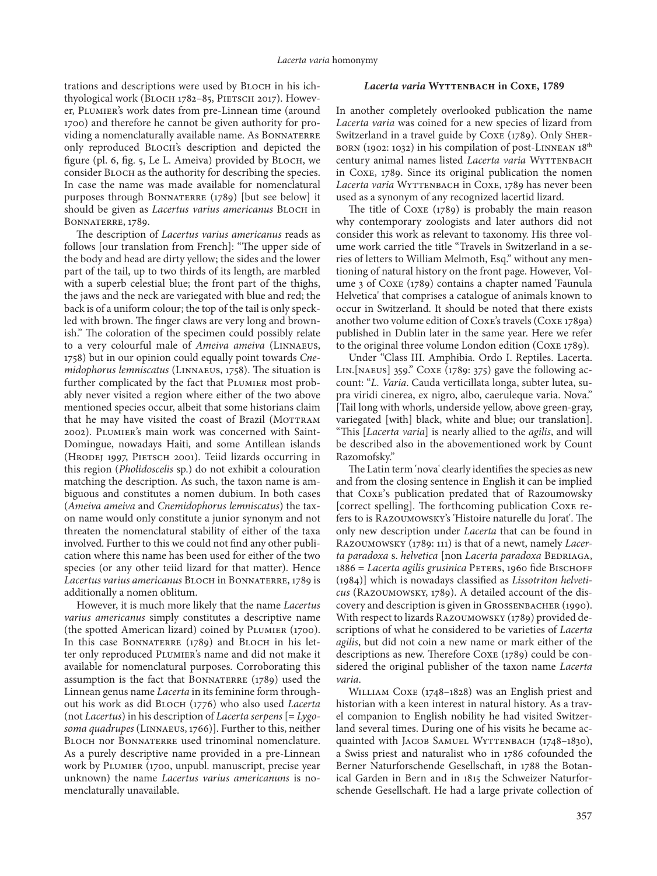trations and descriptions were used by BLOCH in his ichthyological work (BLOCH 1782-85, PIETSCH 2017). However, Plumier's work dates from pre-Linnean time (around 1700) and therefore he cannot be given authority for providing a nomenclaturally available name. As BONNATERRE only reproduced Bloch's description and depicted the figure (pl. 6, fig. 5, Le L. Ameiva) provided by Bloch, we consider Bloch as the authority for describing the species. In case the name was made available for nomenclatural purposes through BONNATERRE (1789) [but see below] it should be given as *Lacertus varius americanus* BLOCH in Bonnaterre, 1789.

The description of *Lacertus varius americanus* reads as follows [our translation from French]: "The upper side of the body and head are dirty yellow; the sides and the lower part of the tail, up to two thirds of its length, are marbled with a superb celestial blue; the front part of the thighs, the jaws and the neck are variegated with blue and red; the back is of a uniform colour; the top of the tail is only speckled with brown. The finger claws are very long and brownish." The coloration of the specimen could possibly relate to a very colourful male of *Ameiva ameiva* (Linnaeus, 1758) but in our opinion could equally point towards *Cnemidophorus lemniscatus* (Linnaeus, 1758). The situation is further complicated by the fact that PLUMIER most probably never visited a region where either of the two above mentioned species occur, albeit that some historians claim that he may have visited the coast of Brazil (MOTTRAM 2002). Plumier's main work was concerned with Saint-Domingue, nowadays Haiti, and some Antillean islands (HRODEJ 1997, PIETSCH 2001). Teiid lizards occurring in this region (*Pholidoscelis* sp.) do not exhibit a colouration matching the description. As such, the taxon name is ambiguous and constitutes a nomen dubium. In both cases (*Ameiva ameiva* and *Cnemidophorus lemniscatus*) the taxon name would only constitute a junior synonym and not threaten the nomenclatural stability of either of the taxa involved. Further to this we could not find any other publication where this name has been used for either of the two species (or any other teiid lizard for that matter). Hence *Lacertus varius americanus* Bloch in Bonnaterre, 1789 is additionally a nomen oblitum.

However, it is much more likely that the name *Lacertus varius americanus* simply constitutes a descriptive name (the spotted American lizard) coined by Plumier (1700). In this case BONNATERRE (1789) and BLOCH in his letter only reproduced Plumier's name and did not make it available for nomenclatural purposes. Corroborating this assumption is the fact that BONNATERRE  $(1789)$  used the Linnean genus name *Lacerta* in its feminine form throughout his work as did Bloch (1776) who also used *Lacerta* (not *Lacertus*) in his description of *Lacerta serpens* [= *Lygosoma quadrupes* (Linnaeus, 1766)]. Further to this, neither BLOCH nor BONNATERRE used trinominal nomenclature. As a purely descriptive name provided in a pre-Linnean work by Plumier (1700, unpubl. manuscript, precise year unknown) the name *Lacertus varius americanuns* is nomenclaturally unavailable.

## Lacerta varia WYTTENBACH in COXE, 1789

In another completely overlooked publication the name *Lacerta varia* was coined for a new species of lizard from Switzerland in a travel guide by Coxe (1789). Only Sherborn (1902: 1032) in his compilation of post-Linnean 18th century animal names listed *Lacerta varia* WYTTENBACH in Coxe, 1789. Since its original publication the nomen Lacerta varia WYTTENBACH in COXE, 1789 has never been used as a synonym of any recognized lacertid lizard.

The title of Coxe (1789) is probably the main reason why contemporary zoologists and later authors did not consider this work as relevant to taxonomy. His three volume work carried the title "Travels in Switzerland in a series of letters to William Melmoth, Esq." without any mentioning of natural history on the front page. However, Volume 3 of Coxe (1789) contains a chapter named 'Faunula Helvetica' that comprises a catalogue of animals known to occur in Switzerland. It should be noted that there exists another two volume edition of Coxe's travels (Coxe 1789a) published in Dublin later in the same year. Here we refer to the original three volume London edition (Coxe 1789).

Under "Class III. Amphibia. Ordo I. Reptiles. Lacerta. Lin.[naeus] 359." Coxe (1789: 375) gave the following account: "*L. Varia*. Cauda verticillata longa, subter lutea, supra viridi cinerea, ex nigro, albo, caeruleque varia. Nova." [Tail long with whorls, underside yellow, above green-gray, variegated [with] black, white and blue; our translation]. "This [*Lacerta varia*] is nearly allied to the *agilis*, and will be described also in the abovementioned work by Count Razomofsky."

The Latin term 'nova' clearly identifies the species as new and from the closing sentence in English it can be implied that Coxe's publication predated that of Razoumowsky [correct spelling]. The forthcoming publication Coxe refers to is Razoumowsky's 'Histoire naturelle du Jorat'. The only new description under *Lacerta* that can be found in Razoumowsky (1789: 111) is that of a newt, namely *Lacerta paradoxa* s. *helvetica* [non *Lacerta paradoxa* Bedriaga, 1886 = Lacerta agilis grusinica PETERS, 1960 fide BISCHOFF (1984)] which is nowadays classified as *Lissotriton helveticus* (Razoumowsky, 1789). A detailed account of the discovery and description is given in Grossenbacher (1990). With respect to lizards Razoumowsky (1789) provided descriptions of what he considered to be varieties of *Lacerta agilis*, but did not coin a new name or mark either of the descriptions as new. Therefore Coxe (1789) could be considered the original publisher of the taxon name *Lacerta varia*.

WILLIAM COXE (1748–1828) was an English priest and historian with a keen interest in natural history. As a travel companion to English nobility he had visited Switzerland several times. During one of his visits he became acquainted with JACOB SAMUEL WYTTENBACH (1748–1830), a Swiss priest and naturalist who in 1786 cofounded the Berner Naturforschende Gesellschaft, in 1788 the Botanical Garden in Bern and in 1815 the Schweizer Naturforschende Gesellschaft. He had a large private collection of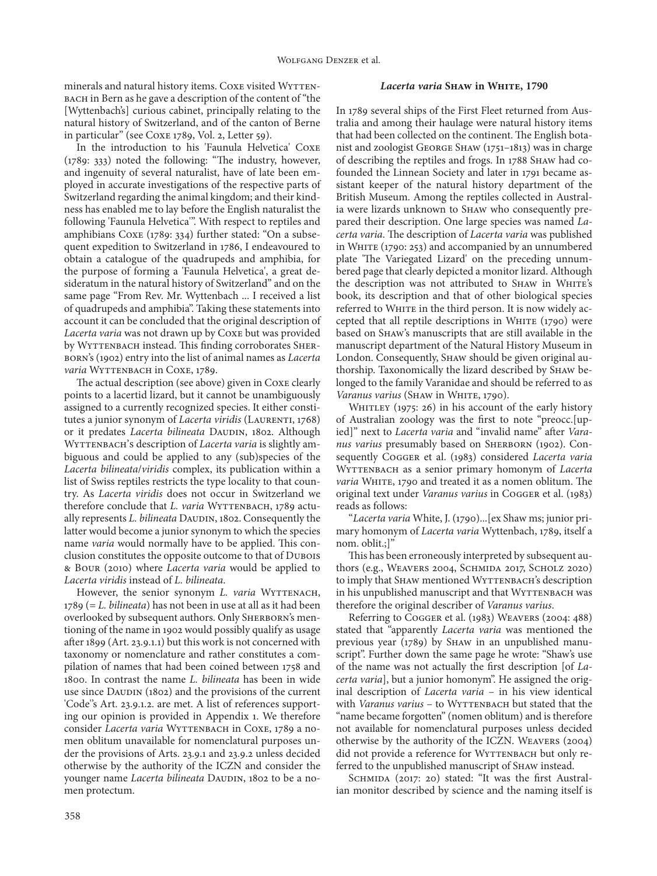minerals and natural history items. Coxe visited WYTTENbach in Bern as he gave a description of the content of "the [Wyttenbach's] curious cabinet, principally relating to the natural history of Switzerland, and of the canton of Berne in particular" (see Coxe 1789, Vol. 2, Letter 59).

In the introduction to his 'Faunula Helvetica' Coxe (1789: 333) noted the following: "The industry, however, and ingenuity of several naturalist, have of late been employed in accurate investigations of the respective parts of Switzerland regarding the animal kingdom; and their kindness has enabled me to lay before the English naturalist the following 'Faunula Helvetica'". With respect to reptiles and amphibians Coxe (1789: 334) further stated: "On a subsequent expedition to Switzerland in 1786, I endeavoured to obtain a catalogue of the quadrupeds and amphibia, for the purpose of forming a 'Faunula Helvetica', a great desideratum in the natural history of Switzerland" and on the same page "From Rev. Mr. Wyttenbach ... I received a list of quadrupeds and amphibia". Taking these statements into account it can be concluded that the original description of *Lacerta varia* was not drawn up by Coxe but was provided by WYTTENBACH instead. This finding corroborates SHERborn's (1902) entry into the list of animal names as *Lacerta varia* WYTTENBACH in COXE, 1789.

The actual description (see above) given in Coxe clearly points to a lacertid lizard, but it cannot be unambiguously assigned to a currently recognized species. It either constitutes a junior synonym of *Lacerta viridis* (LAURENTI, 1768) or it predates *Lacerta bilineata* DAUDIN, 1802. Although WYTTENBACH's description of *Lacerta varia* is slightly ambiguous and could be applied to any (sub)species of the *Lacerta bilineata*/*viridis* complex, its publication within a list of Swiss reptiles restricts the type locality to that country. As *Lacerta viridis* does not occur in Switzerland we therefore conclude that *L. varia* WYTTENBACH, 1789 actually represents *L. bilineata* DAUDIN, 1802. Consequently the latter would become a junior synonym to which the species name *varia* would normally have to be applied. This conclusion constitutes the opposite outcome to that of Dubois & Bour (2010) where *Lacerta varia* would be applied to *Lacerta viridis* instead of *L. bilineata*.

However, the senior synonym *L. varia* WYTTENACH, 1789 (= *L. bilineata*) has not been in use at all as it had been overlooked by subsequent authors. Only SHERBORN's mentioning of the name in 1902 would possibly qualify as usage after 1899 (Art. 23.9.1.1) but this work is not concerned with taxonomy or nomenclature and rather constitutes a compilation of names that had been coined between 1758 and 1800. In contrast the name *L. bilineata* has been in wide use since Daupin (1802) and the provisions of the current 'Code''s Art. 23.9.1.2. are met. A list of references supporting our opinion is provided in Appendix 1. We therefore consider *Lacerta varia* WYTTENBACH in COXE, 1789 a nomen oblitum unavailable for nomenclatural purposes under the provisions of Arts. 23.9.1 and 23.9.2 unless decided otherwise by the authority of the ICZN and consider the younger name *Lacerta bilineata* DAUDIN, 1802 to be a nomen protectum.

### *Lacerta varia* **Shaw in White, 1790**

In 1789 several ships of the First Fleet returned from Australia and among their haulage were natural history items that had been collected on the continent. The English botanist and zoologist George Shaw (1751–1813) was in charge of describing the reptiles and frogs. In 1788 Shaw had cofounded the Linnean Society and later in 1791 became assistant keeper of the natural history department of the British Museum. Among the reptiles collected in Australia were lizards unknown to Shaw who consequently prepared their description. One large species was named *Lacerta varia*. The description of *Lacerta varia* was published in White (1790: 253) and accompanied by an unnumbered plate 'The Variegated Lizard' on the preceding unnumbered page that clearly depicted a monitor lizard. Although the description was not attributed to SHAW in WHITE's book, its description and that of other biological species referred to WHITE in the third person. It is now widely accepted that all reptile descriptions in WHITE (1790) were based on Shaw's manuscripts that are still available in the manuscript department of the Natural History Museum in London. Consequently, SHAW should be given original authorship. Taxonomically the lizard described by Shaw belonged to the family Varanidae and should be referred to as Varanus varius (SHAW in WHITE, 1790).

WHITLEY (1975: 26) in his account of the early history of Australian zoology was the first to note "preocc.[upied]" next to *Lacerta varia* and "invalid name" after *Vara*nus varius presumably based on SHERBORN (1902). Consequently Cogger et al. (1983) considered *Lacerta varia* Wyttenbach as a senior primary homonym of *Lacerta varia* WHITE, 1790 and treated it as a nomen oblitum. The original text under *Varanus varius* in Cogger et al. (1983) reads as follows:

"*Lacerta varia* White, J. (1790)...[ex Shaw ms; junior primary homonym of *Lacerta varia* Wyttenbach, 1789, itself a nom. oblit.;]"

This has been erroneously interpreted by subsequent authors (e.g., Weavers 2004, Schmida 2017, Scholz 2020) to imply that SHAW mentioned WYTTENBACH's description in his unpublished manuscript and that WYTTENBACH was therefore the original describer of *Varanus varius*.

Referring to Cogger et al. (1983) Weavers (2004: 488) stated that "apparently *Lacerta varia* was mentioned the previous year (1789) by SHAW in an unpublished manuscript". Further down the same page he wrote: "Shaw's use of the name was not actually the first description [of *Lacerta varia*], but a junior homonym". He assigned the original description of *Lacerta varia* – in his view identical with *Varanus varius* - to WYTTENBACH but stated that the "name became forgotten" (nomen oblitum) and is therefore not available for nomenclatural purposes unless decided otherwise by the authority of the ICZN. Weavers (2004) did not provide a reference for WYTTENBACH but only referred to the unpublished manuscript of SHAW instead.

SCHMIDA (2017: 20) stated: "It was the first Australian monitor described by science and the naming itself is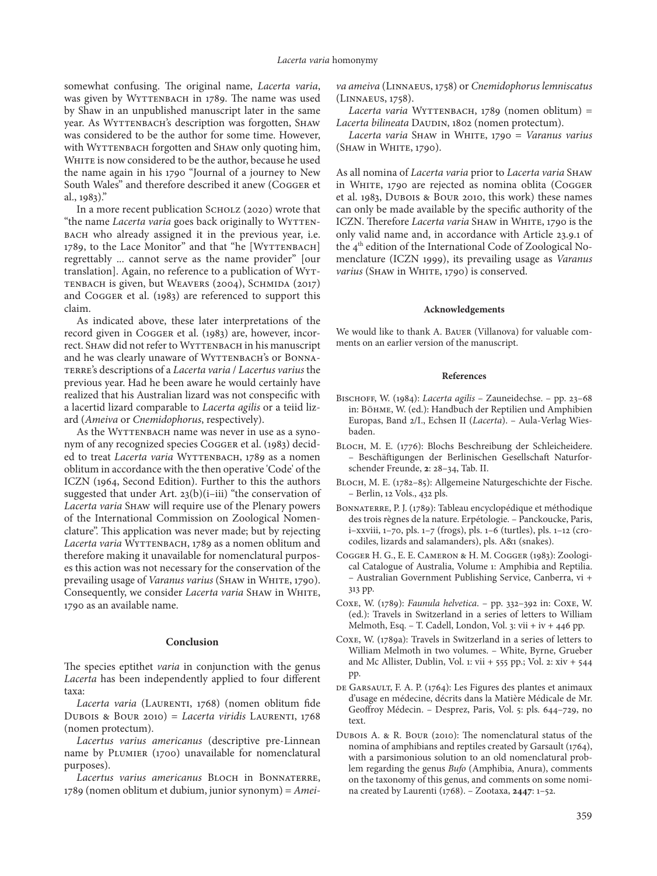somewhat confusing. The original name, *Lacerta varia*, was given by WYTTENBACH in 1789. The name was used by Shaw in an unpublished manuscript later in the same year. As WYTTENBACH's description was forgotten, SHAW was considered to be the author for some time. However, with WYTTENBACH forgotten and SHAW only quoting him, WHITE is now considered to be the author, because he used the name again in his 1790 "Journal of a journey to New South Wales" and therefore described it anew (Cogger et al., 1983)."

In a more recent publication SCHOLZ (2020) wrote that "the name *Lacerta varia* goes back originally to WYTTENbach who already assigned it in the previous year, i.e. 1789, to the Lace Monitor" and that "he [WYTTENBACH] regrettably ... cannot serve as the name provider" [our translation]. Again, no reference to a publication of Wyttenbach is given, but Weavers (2004), Schmida (2017) and Cogger et al. (1983) are referenced to support this claim.

As indicated above, these later interpretations of the record given in Cogger et al. (1983) are, however, incorrect. Shaw did not refer to WYTTENBACH in his manuscript and he was clearly unaware of WYTTENBACH's or BONNAterre's descriptions of a *Lacerta varia* / *Lacertus varius* the previous year. Had he been aware he would certainly have realized that his Australian lizard was not conspecific with a lacertid lizard comparable to *Lacerta agilis* or a teiid lizard (*Ameiva* or *Cnemidophorus*, respectively).

As the WYTTENBACH name was never in use as a synonym of any recognized species Cogger et al. (1983) decided to treat *Lacerta varia* WYTTENBACH, 1789 as a nomen oblitum in accordance with the then operative 'Code' of the ICZN (1964, Second Edition). Further to this the authors suggested that under Art. 23(b)(i–iii) "the conservation of *Lacerta varia* Shaw will require use of the Plenary powers of the International Commission on Zoological Nomenclature". This application was never made; but by rejecting Lacerta varia WYTTENBACH, 1789 as a nomen oblitum and therefore making it unavailable for nomenclatural purposes this action was not necessary for the conservation of the prevailing usage of *Varanus varius* (SHAW in WHITE, 1790). Consequently, we consider *Lacerta varia* SHAW in WHITE, 1790 as an available name.

#### **Conclusion**

The species eptithet *varia* in conjunction with the genus *Lacerta* has been independently applied to four different taxa:

Lacerta varia (LAURENTI, 1768) (nomen oblitum fide Dubois & Bour 2010) = *Lacerta viridis* LAURENTI, 1768 (nomen protectum).

*Lacertus varius americanus* (descriptive pre-Linnean name by PLUMIER (1700) unavailable for nomenclatural purposes).

Lacertus varius americanus BLOCH in BONNATERRE, 1789 (nomen oblitum et dubium, junior synonym) = *Amei-*

*va ameiva* (Linnaeus, 1758) or *Cnemidophorus lemniscatus*  (Linnaeus, 1758).

Lacerta varia WYTTENBACH, 1789 (nomen oblitum) = Lacerta bilineata DAUDIN, 1802 (nomen protectum).

*Lacerta varia* Shaw in White, 1790 = *Varanus varius* (SHAW in WHITE, 1790).

As all nomina of *Lacerta varia* prior to *Lacerta varia* Shaw in WHITE, 1790 are rejected as nomina oblita (COGGER et al. 1983, Dubois & Bour 2010, this work) these names can only be made available by the specific authority of the ICZN. Therefore *Lacerta varia* SHAW in WHITE, 1790 is the only valid name and, in accordance with Article 23.9.1 of the 4<sup>th</sup> edition of the International Code of Zoological Nomenclature (ICZN 1999), its prevailing usage as *Varanus varius* (SHAW in WHITE, 1790) is conserved.

#### **Acknowledgements**

We would like to thank A. Bauer (Villanova) for valuable comments on an earlier version of the manuscript.

#### **References**

- Bischoff, W. (1984): *Lacerta agilis* Zauneidechse. pp. 23–68 in: Böhme, W. (ed.): Handbuch der Reptilien und Amphibien Europas, Band 2/I., Echsen II (*Lacerta*). – Aula-Verlag Wiesbaden.
- Bloch, M. E. (1776): Blochs Beschreibung der Schleicheidere. – Beschäftigungen der Berlinischen Gesellschaft Naturforschender Freunde, **2**: 28–34, Tab. II.
- Bloch, M. E. (1782–85): Allgemeine Naturgeschichte der Fische. – Berlin, 12 Vols., 432 pls.
- BONNATERRE, P. J. (1789): Tableau encyclopédique et méthodique des trois règnes de la nature. Erpétologie. – Panckoucke, Paris, i–xxviii, 1–70, pls. 1–7 (frogs), pls. 1–6 (turtles), pls. 1–12 (crocodiles, lizards and salamanders), pls. A&1 (snakes).
- Cogger H. G., E. E. Cameron & H. M. Cogger (1983): Zoological Catalogue of Australia, Volume 1: Amphibia and Reptilia. – Australian Government Publishing Service, Canberra, vi + 313 pp.
- Coxe, W. (1789): *Faunula helvetica*. pp. 332–392 in: Coxe, W. (ed.): Travels in Switzerland in a series of letters to William Melmoth, Esq. – T. Cadell, London, Vol. 3: vii + iv + 446 pp.
- Coxe, W. (1789a): Travels in Switzerland in a series of letters to William Melmoth in two volumes. – White, Byrne, Grueber and Mc Allister, Dublin, Vol. 1: vii + 555 pp.; Vol. 2: xiv + 544 pp.
- DE GARSAULT, F. A. P. (1764): Les Figures des plantes et animaux d'usage en médecine, décrits dans la Matière Médicale de Mr. Geoffroy Médecin. – Desprez, Paris, Vol. 5: pls. 644–729, no text.
- Dubois A. & R. Bour (2010): The nomenclatural status of the nomina of amphibians and reptiles created by Garsault (1764), with a parsimonious solution to an old nomenclatural problem regarding the genus *Bufo* (Amphibia, Anura), comments on the taxonomy of this genus, and comments on some nomina created by Laurenti (1768). – Zootaxa, **2447**: 1–52.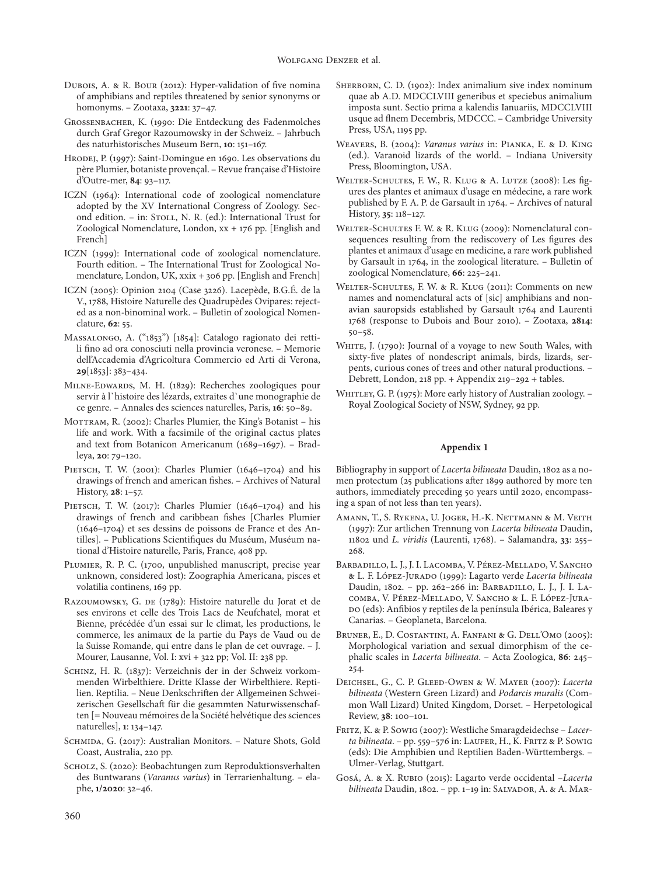- Dubois, A. & R. Bour (2012): Hyper-validation of five nomina of amphibians and reptiles threatened by senior synonyms or homonyms. – Zootaxa, **3221**: 37–47.
- Grossenbacher, K. (1990: Die Entdeckung des Fadenmolches durch Graf Gregor Razoumowsky in der Schweiz. – Jahrbuch des naturhistorisches Museum Bern, **10**: 151–167.
- Hrodej, P. (1997): Saint-Domingue en 1690. Les observations du père Plumier, botaniste provençal. – Revue française d'Histoire d'Outre-mer, **84**: 93–117.
- ICZN (1964): International code of zoological nomenclature adopted by the XV International Congress of Zoology. Second edition. - in: STOLL, N. R. (ed.): International Trust for Zoological Nomenclature, London, xx + 176 pp. [English and French]
- ICZN (1999): International code of zoological nomenclature. Fourth edition. – The International Trust for Zoological Nomenclature, London, UK, xxix + 306 pp. [English and French]
- ICZN (2005): Opinion 2104 (Case 3226). Lacepède, B.G.É. de la V., 1788, Histoire Naturelle des Quadrupèdes Ovipares: rejected as a non-binominal work. – Bulletin of zoological Nomenclature, **62**: 55.
- Massalongo, A. ("1853") [1854]: Catalogo ragionato dei rettili fino ad ora conosciuti nella provincia veronese. – Memorie dell'Accademia d'Agricoltura Commercio ed Arti di Verona, **29**[1853]: 383–434.
- Milne-Edwards, M. H. (1829): Recherches zoologiques pour servir à l`histoire des lézards, extraites d`une monographie de ce genre. – Annales des sciences naturelles, Paris, **16**: 50–89.
- MOTTRAM, R. (2002): Charles Plumier, the King's Botanist his life and work. With a facsimile of the original cactus plates and text from Botanicon Americanum (1689–1697). – Bradleya, **20**: 79–120.
- PIETSCH, T. W. (2001): Charles Plumier (1646-1704) and his drawings of french and american fishes. – Archives of Natural History, **28**: 1–57.
- PIETSCH, T. W. (2017): Charles Plumier (1646-1704) and his drawings of french and caribbean fishes [Charles Plumier (1646–1704) et ses dessins de poissons de France et des Antilles]. – Publications Scientifiques du Muséum, Muséum national d'Histoire naturelle, Paris, France, 408 pp.
- Plumier, R. P. C. (1700, unpublished manuscript, precise year unknown, considered lost): Zoographia Americana, pisces et volatilia continens, 169 pp.
- Razoumowsky, G. de (1789): Histoire naturelle du Jorat et de ses environs et celle des Trois Lacs de Neufchatel, morat et Bienne, précédée d'un essai sur le climat, les productions, le commerce, les animaux de la partie du Pays de Vaud ou de la Suisse Romande, qui entre dans le plan de cet ouvrage. – J. Mourer, Lausanne, Vol. I: xvi + 322 pp; Vol. II: 238 pp.
- Schinz, H. R. (1837): Verzeichnis der in der Schweiz vorkommenden Wirbelthiere. Dritte Klasse der Wirbelthiere. Reptilien. Reptilia. – Neue Denkschriften der Allgemeinen Schweizerischen Gesellschaft für die gesammten Naturwissenschaften [= Nouveau mémoires de la Société helvétique des sciences naturelles], **1**: 134–147.
- SCHMIDA, G. (2017): Australian Monitors. Nature Shots, Gold Coast, Australia, 220 pp.
- SCHOLZ, S. (2020): Beobachtungen zum Reproduktionsverhalten des Buntwarans (*Varanus varius*) in Terrarienhaltung. – elaphe, **1/2020**: 32–46.
- SHERBORN, C. D. (1902): Index animalium sive index nominum quae ab A.D. MDCCLVIII generibus et speciebus animalium imposta sunt. Sectio prima a kalendis Ianuariis, MDCCLVIII usque ad flnem Decembris, MDCCC. – Cambridge University Press, USA, 1195 pp.
- Weavers, B. (2004): *Varanus varius* in: Pianka, E. & D. King (ed.). Varanoid lizards of the world. – Indiana University Press, Bloomington, USA.
- Welter-Schultes, F. W., R. Klug & A. Lutze (2008): Les figures des plantes et animaux d'usage en médecine, a rare work published by F. A. P. de Garsault in 1764. – Archives of natural History, **35**: 118–127.
- WELTER-SCHULTES F. W. & R. KLUG (2009): Nomenclatural consequences resulting from the rediscovery of Les figures des plantes et animaux d'usage en medicine, a rare work published by Garsault in 1764, in the zoological literature. – Bulletin of zoological Nomenclature, **66**: 225–241.
- Welter-Schultes, F. W. & R. Klug (2011): Comments on new names and nomenclatural acts of [sic] amphibians and nonavian sauropsids established by Garsault 1764 and Laurenti 1768 (response to Dubois and Bour 2010). – Zootaxa, **2814**: 50–58.
- WHITE, J. (1790): Journal of a voyage to new South Wales, with sixty-five plates of nondescript animals, birds, lizards, serpents, curious cones of trees and other natural productions. – Debrett, London, 218 pp. + Appendix 219–292 + tables.
- WHITLEY, G. P. (1975): More early history of Australian zoology. -Royal Zoological Society of NSW, Sydney, 92 pp.

#### **Appendix 1**

Bibliography in support of *Lacerta bilineata* Daudin, 1802 as a nomen protectum (25 publications after 1899 authored by more ten authors, immediately preceding 50 years until 2020, encompassing a span of not less than ten years).

- Amann, T., S. Rykena, U. Joger, H.-K. Nettmann & M. Veith (1997): Zur artlichen Trennung von *Lacerta bilineata* Daudin, 11802 und *L. viridis* (Laurenti, 1768). – Salamandra, **33**: 255– 268.
- Barbadillo, L. J., J. I. Lacomba, V. Pérez-Mellado, V. Sancho & L. F. López-Jurado (1999): Lagarto verde *Lacerta bilineata* Daudin, 1802. – pp. 262–266 in: Barbadillo, L. J., J. I. Lacomba, V. Pérez-Mellado, V. Sancho & L. F. López-Jurado (eds): Anfibios y reptiles de la península Ibérica, Baleares y Canarias. – Geoplaneta, Barcelona.
- BRUNER, E., D. COSTANTINI, A. FANFANI & G. DELL'OMO (2005): Morphological variation and sexual dimorphism of the cephalic scales in *Lacerta bilineata*. – Acta Zoologica, **86**: 245– 254.
- Deichsel, G., C. P. Gleed-Owen & W. Mayer (2007): *Lacerta bilineata* (Western Green Lizard) and *Podarcis muralis* (Common Wall Lizard) United Kingdom, Dorset. – Herpetological Review, **38**: 100–101.
- Fritz, K. & P. Sowig (2007): Westliche Smaragdeidechse *Lacerta bilineata*. – pp. 559–576 in: Laufer, H., K. Fritz & P. Sowig (eds): Die Amphibien und Reptilien Baden-Württembergs. – Ulmer-Verlag, Stuttgart.
- Gosá, A. & X. Rubio (2015): Lagarto verde occidental –*Lacerta bilineata* Daudin, 1802. - pp. 1-19 in: SALVADOR, A. & A. MAR-